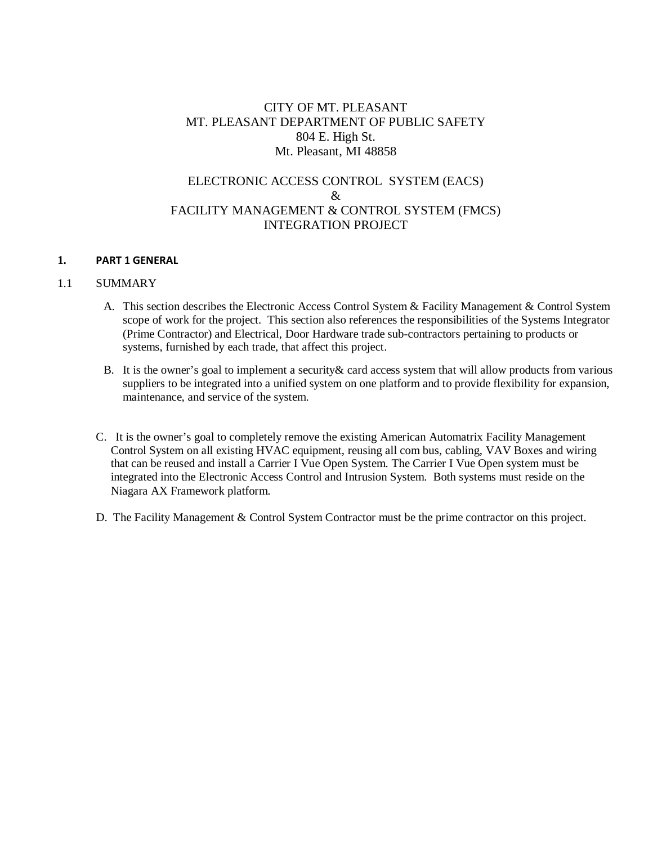# CITY OF MT. PLEASANT MT. PLEASANT DEPARTMENT OF PUBLIC SAFETY 804 E. High St. Mt. Pleasant, MI 48858

# ELECTRONIC ACCESS CONTROL SYSTEM (EACS) & FACILITY MANAGEMENT & CONTROL SYSTEM (FMCS) INTEGRATION PROJECT

#### **1. PART 1 GENERAL**

#### 1.1 SUMMARY

- A. This section describes the Electronic Access Control System & Facility Management & Control System scope of work for the project. This section also references the responsibilities of the Systems Integrator (Prime Contractor) and Electrical, Door Hardware trade sub-contractors pertaining to products or systems, furnished by each trade, that affect this project.
- B. It is the owner's goal to implement a security& card access system that will allow products from various suppliers to be integrated into a unified system on one platform and to provide flexibility for expansion, maintenance, and service of the system.
- C. It is the owner's goal to completely remove the existing American Automatrix Facility Management Control System on all existing HVAC equipment, reusing all com bus, cabling, VAV Boxes and wiring that can be reused and install a Carrier I Vue Open System. The Carrier I Vue Open system must be integrated into the Electronic Access Control and Intrusion System. Both systems must reside on the Niagara AX Framework platform.
- D. The Facility Management & Control System Contractor must be the prime contractor on this project.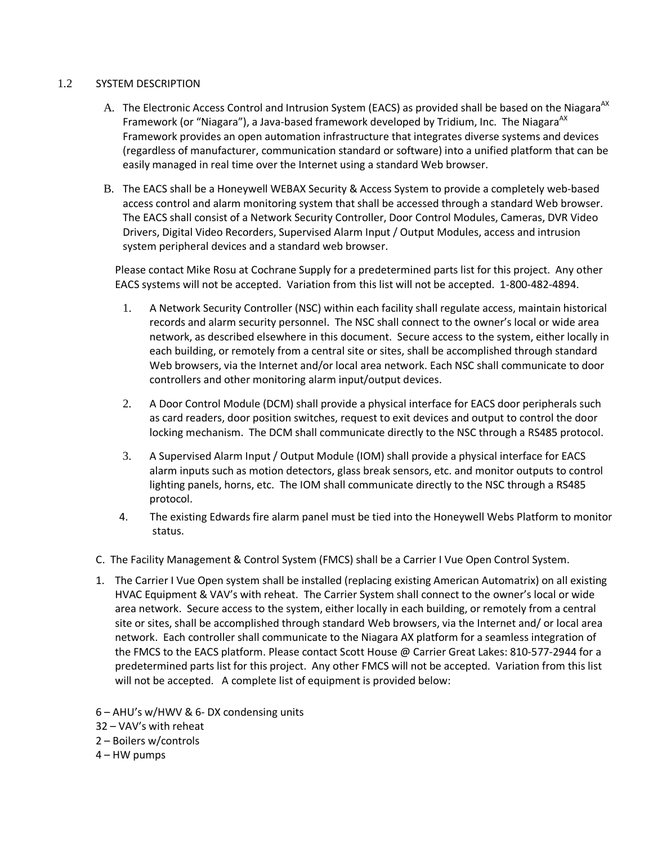# 1.2 SYSTEM DESCRIPTION

- A. The Electronic Access Control and Intrusion System (EACS) as provided shall be based on the Niagara<sup>AX</sup> Framework (or "Niagara"), a Java-based framework developed by Tridium, Inc. The Niagara<sup>AX</sup> Framework provides an open automation infrastructure that integrates diverse systems and devices (regardless of manufacturer, communication standard or software) into a unified platform that can be easily managed in real time over the Internet using a standard Web browser.
- B. The EACS shall be a Honeywell WEBAX Security & Access System to provide a completely web-based access control and alarm monitoring system that shall be accessed through a standard Web browser. The EACS shall consist of a Network Security Controller, Door Control Modules, Cameras, DVR Video Drivers, Digital Video Recorders, Supervised Alarm Input / Output Modules, access and intrusion system peripheral devices and a standard web browser.

Please contact Mike Rosu at Cochrane Supply for a predetermined parts list for this project. Any other EACS systems will not be accepted. Variation from this list will not be accepted. 1-800-482-4894.

- 1. A Network Security Controller (NSC) within each facility shall regulate access, maintain historical records and alarm security personnel. The NSC shall connect to the owner's local or wide area network, as described elsewhere in this document. Secure access to the system, either locally in each building, or remotely from a central site or sites, shall be accomplished through standard Web browsers, via the Internet and/or local area network. Each NSC shall communicate to door controllers and other monitoring alarm input/output devices.
- 2. A Door Control Module (DCM) shall provide a physical interface for EACS door peripherals such as card readers, door position switches, request to exit devices and output to control the door locking mechanism. The DCM shall communicate directly to the NSC through a RS485 protocol.
- 3. A Supervised Alarm Input / Output Module (IOM) shall provide a physical interface for EACS alarm inputs such as motion detectors, glass break sensors, etc. and monitor outputs to control lighting panels, horns, etc. The IOM shall communicate directly to the NSC through a RS485 protocol.
- 4. The existing Edwards fire alarm panel must be tied into the Honeywell Webs Platform to monitor status.
- C. The Facility Management & Control System (FMCS) shall be a Carrier I Vue Open Control System.
- 1. The Carrier I Vue Open system shall be installed (replacing existing American Automatrix) on all existing HVAC Equipment & VAV's with reheat. The Carrier System shall connect to the owner's local or wide area network. Secure access to the system, either locally in each building, or remotely from a central site or sites, shall be accomplished through standard Web browsers, via the Internet and/ or local area network. Each controller shall communicate to the Niagara AX platform for a seamless integration of the FMCS to the EACS platform. Please contact Scott House @ Carrier Great Lakes: 810-577-2944 for a predetermined parts list for this project. Any other FMCS will not be accepted. Variation from this list will not be accepted. A complete list of equipment is provided below:
- 6 AHU's w/HWV & 6- DX condensing units
- 32 VAV's with reheat
- 2 Boilers w/controls
- 4 HW pumps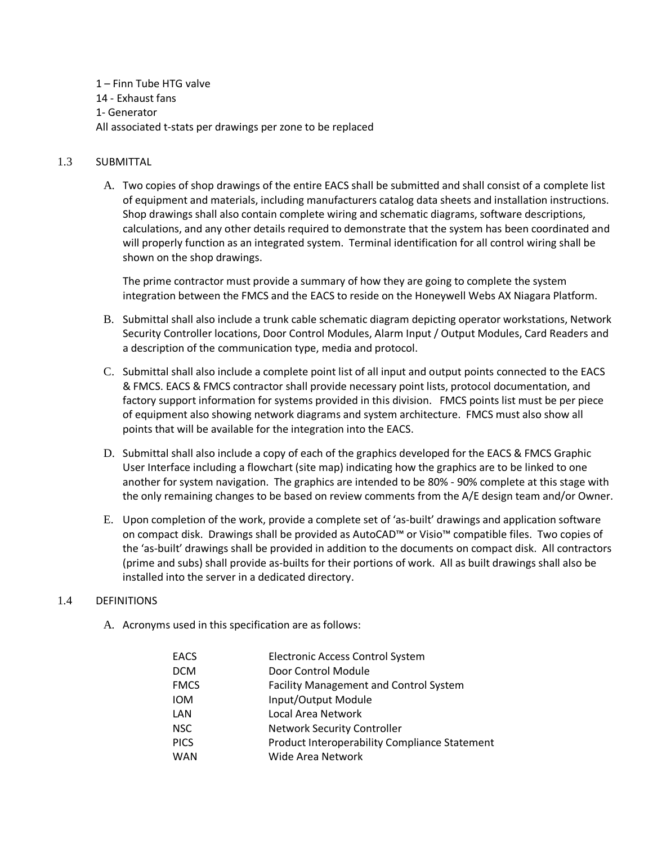1 – Finn Tube HTG valve 14 - Exhaust fans 1- Generator All associated t-stats per drawings per zone to be replaced

# 1.3 SUBMITTAL

A. Two copies of shop drawings of the entire EACS shall be submitted and shall consist of a complete list of equipment and materials, including manufacturers catalog data sheets and installation instructions. Shop drawings shall also contain complete wiring and schematic diagrams, software descriptions, calculations, and any other details required to demonstrate that the system has been coordinated and will properly function as an integrated system. Terminal identification for all control wiring shall be shown on the shop drawings.

The prime contractor must provide a summary of how they are going to complete the system integration between the FMCS and the EACS to reside on the Honeywell Webs AX Niagara Platform.

- B. Submittal shall also include a trunk cable schematic diagram depicting operator workstations, Network Security Controller locations, Door Control Modules, Alarm Input / Output Modules, Card Readers and a description of the communication type, media and protocol.
- C. Submittal shall also include a complete point list of all input and output points connected to the EACS & FMCS. EACS & FMCS contractor shall provide necessary point lists, protocol documentation, and factory support information for systems provided in this division. FMCS points list must be per piece of equipment also showing network diagrams and system architecture. FMCS must also show all points that will be available for the integration into the EACS.
- D. Submittal shall also include a copy of each of the graphics developed for the EACS & FMCS Graphic User Interface including a flowchart (site map) indicating how the graphics are to be linked to one another for system navigation. The graphics are intended to be 80% - 90% complete at this stage with the only remaining changes to be based on review comments from the A/E design team and/or Owner.
- E. Upon completion of the work, provide a complete set of 'as-built' drawings and application software on compact disk. Drawings shall be provided as AutoCAD™ or Visio™ compatible files. Two copies of the 'as-built' drawings shall be provided in addition to the documents on compact disk. All contractors (prime and subs) shall provide as-builts for their portions of work. All as built drawings shall also be installed into the server in a dedicated directory.

### 1.4 DEFINITIONS

A. Acronyms used in this specification are as follows:

| <b>EACS</b> | <b>Electronic Access Control System</b>       |
|-------------|-----------------------------------------------|
| <b>DCM</b>  | Door Control Module                           |
| <b>FMCS</b> | Facility Management and Control System        |
| <b>IOM</b>  | Input/Output Module                           |
| LAN         | Local Area Network                            |
| <b>NSC</b>  | <b>Network Security Controller</b>            |
| <b>PICS</b> | Product Interoperability Compliance Statement |
| <b>WAN</b>  | Wide Area Network                             |
|             |                                               |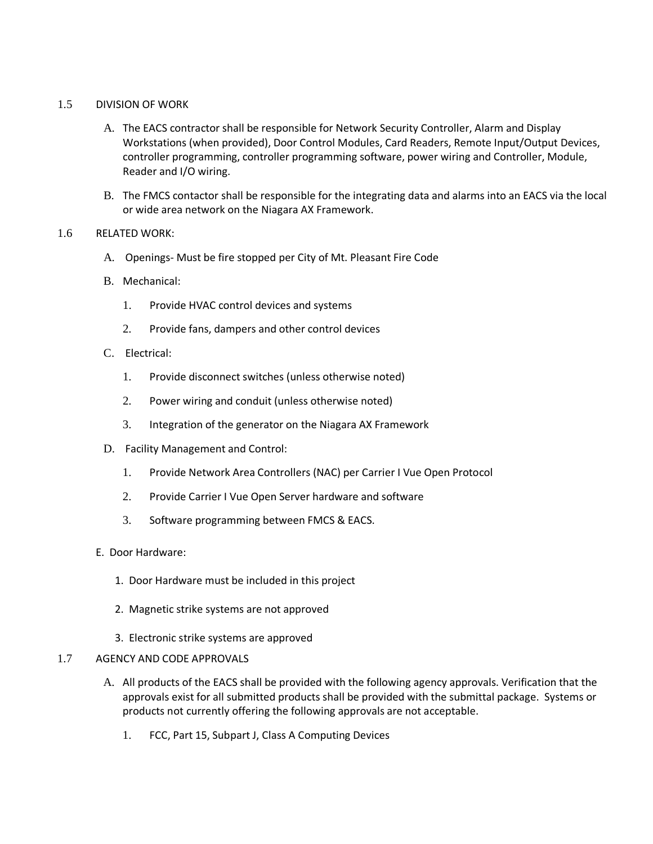### 1.5 DIVISION OF WORK

- A. The EACS contractor shall be responsible for Network Security Controller, Alarm and Display Workstations (when provided), Door Control Modules, Card Readers, Remote Input/Output Devices, controller programming, controller programming software, power wiring and Controller, Module, Reader and I/O wiring.
- B. The FMCS contactor shall be responsible for the integrating data and alarms into an EACS via the local or wide area network on the Niagara AX Framework.

#### 1.6 RELATED WORK:

- A. Openings- Must be fire stopped per City of Mt. Pleasant Fire Code
- B. Mechanical:
	- 1. Provide HVAC control devices and systems
	- 2. Provide fans, dampers and other control devices
- C. Electrical:
	- 1. Provide disconnect switches (unless otherwise noted)
	- 2. Power wiring and conduit (unless otherwise noted)
	- 3. Integration of the generator on the Niagara AX Framework
- D. Facility Management and Control:
	- 1. Provide Network Area Controllers (NAC) per Carrier I Vue Open Protocol
	- 2. Provide Carrier I Vue Open Server hardware and software
	- 3. Software programming between FMCS & EACS.
- E. Door Hardware:
	- 1. Door Hardware must be included in this project
	- 2. Magnetic strike systems are not approved
	- 3. Electronic strike systems are approved

#### 1.7 AGENCY AND CODE APPROVALS

- A. All products of the EACS shall be provided with the following agency approvals. Verification that the approvals exist for all submitted products shall be provided with the submittal package. Systems or products not currently offering the following approvals are not acceptable.
	- 1. FCC, Part 15, Subpart J, Class A Computing Devices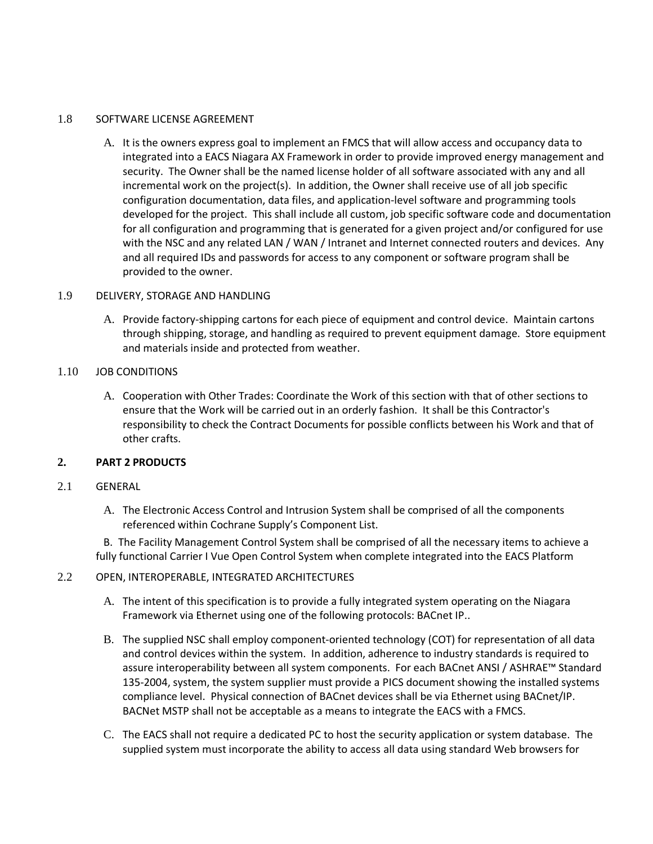#### 1.8 SOFTWARE LICENSE AGREEMENT

A. It is the owners express goal to implement an FMCS that will allow access and occupancy data to integrated into a EACS Niagara AX Framework in order to provide improved energy management and security. The Owner shall be the named license holder of all software associated with any and all incremental work on the project(s). In addition, the Owner shall receive use of all job specific configuration documentation, data files, and application-level software and programming tools developed for the project. This shall include all custom, job specific software code and documentation for all configuration and programming that is generated for a given project and/or configured for use with the NSC and any related LAN / WAN / Intranet and Internet connected routers and devices. Any and all required IDs and passwords for access to any component or software program shall be provided to the owner.

### 1.9 DELIVERY, STORAGE AND HANDLING

A. Provide factory-shipping cartons for each piece of equipment and control device. Maintain cartons through shipping, storage, and handling as required to prevent equipment damage. Store equipment and materials inside and protected from weather.

### 1.10 JOB CONDITIONS

A. Cooperation with Other Trades: Coordinate the Work of this section with that of other sections to ensure that the Work will be carried out in an orderly fashion. It shall be this Contractor's responsibility to check the Contract Documents for possible conflicts between his Work and that of other crafts.

### **2. PART 2 PRODUCTS**

# 2.1 GENERAL

A. The Electronic Access Control and Intrusion System shall be comprised of all the components referenced within Cochrane Supply's Component List.

 B. The Facility Management Control System shall be comprised of all the necessary items to achieve a fully functional Carrier I Vue Open Control System when complete integrated into the EACS Platform

#### 2.2 OPEN, INTEROPERABLE, INTEGRATED ARCHITECTURES

- A. The intent of this specification is to provide a fully integrated system operating on the Niagara Framework via Ethernet using one of the following protocols: BACnet IP..
- B. The supplied NSC shall employ component-oriented technology (COT) for representation of all data and control devices within the system. In addition, adherence to industry standards is required to assure interoperability between all system components. For each BACnet ANSI / ASHRAE™ Standard 135-2004, system, the system supplier must provide a PICS document showing the installed systems compliance level. Physical connection of BACnet devices shall be via Ethernet using BACnet/IP. BACNet MSTP shall not be acceptable as a means to integrate the EACS with a FMCS.
- C. The EACS shall not require a dedicated PC to host the security application or system database. The supplied system must incorporate the ability to access all data using standard Web browsers for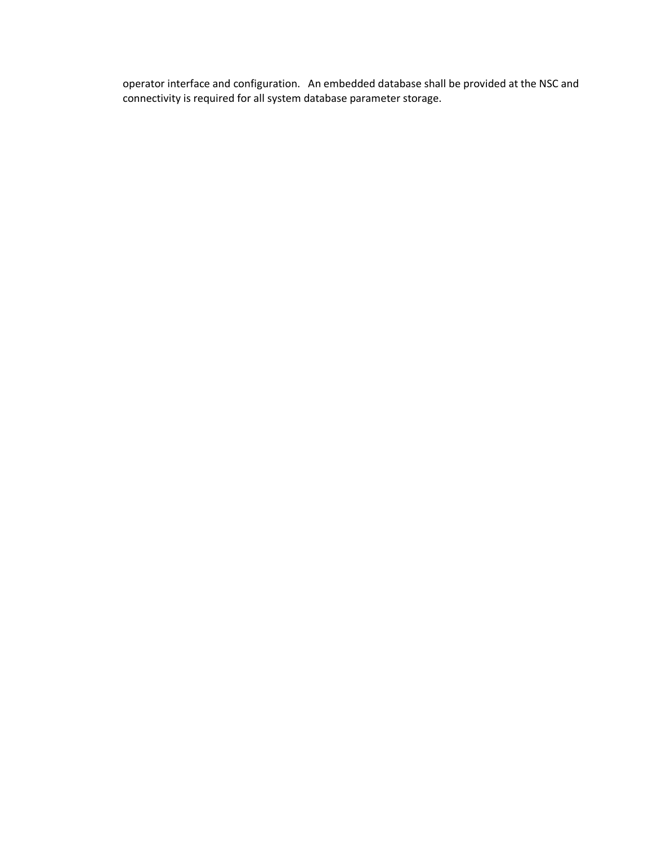operator interface and configuration. An embedded database shall be provided at the NSC and connectivity is required for all system database parameter storage.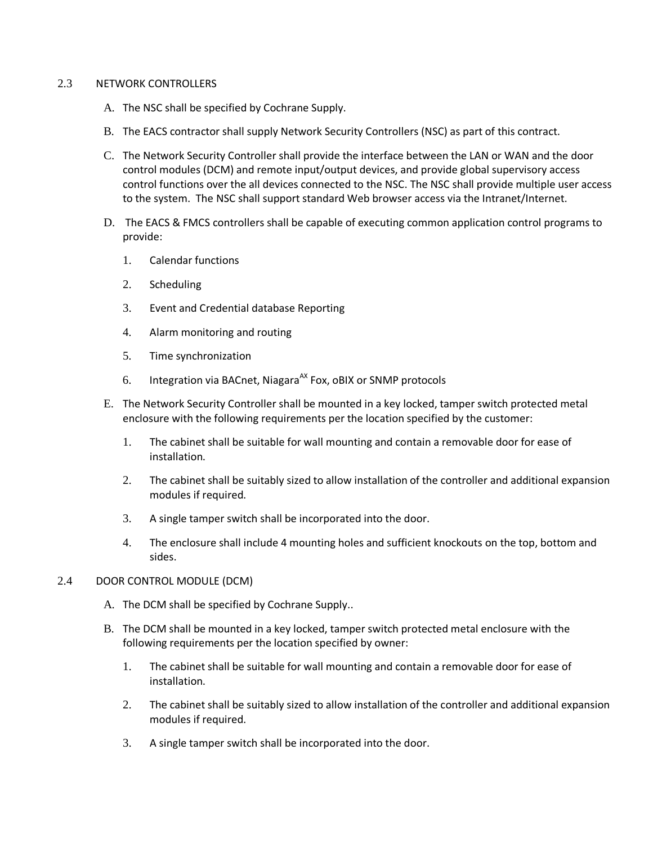#### 2.3 NETWORK CONTROLLERS

- A. The NSC shall be specified by Cochrane Supply.
- B. The EACS contractor shall supply Network Security Controllers (NSC) as part of this contract.
- C. The Network Security Controller shall provide the interface between the LAN or WAN and the door control modules (DCM) and remote input/output devices, and provide global supervisory access control functions over the all devices connected to the NSC. The NSC shall provide multiple user access to the system. The NSC shall support standard Web browser access via the Intranet/Internet.
- D. The EACS & FMCS controllers shall be capable of executing common application control programs to provide:
	- 1. Calendar functions
	- 2. Scheduling
	- 3. Event and Credential database Reporting
	- 4. Alarm monitoring and routing
	- 5. Time synchronization
	- 6. Integration via BACnet, Niagara<sup>AX</sup> Fox, oBIX or SNMP protocols
- E. The Network Security Controller shall be mounted in a key locked, tamper switch protected metal enclosure with the following requirements per the location specified by the customer:
	- 1. The cabinet shall be suitable for wall mounting and contain a removable door for ease of installation.
	- 2. The cabinet shall be suitably sized to allow installation of the controller and additional expansion modules if required.
	- 3. A single tamper switch shall be incorporated into the door.
	- 4. The enclosure shall include 4 mounting holes and sufficient knockouts on the top, bottom and sides.

# 2.4 DOOR CONTROL MODULE (DCM)

- A. The DCM shall be specified by Cochrane Supply..
- B. The DCM shall be mounted in a key locked, tamper switch protected metal enclosure with the following requirements per the location specified by owner:
	- 1. The cabinet shall be suitable for wall mounting and contain a removable door for ease of installation.
	- 2. The cabinet shall be suitably sized to allow installation of the controller and additional expansion modules if required.
	- 3. A single tamper switch shall be incorporated into the door.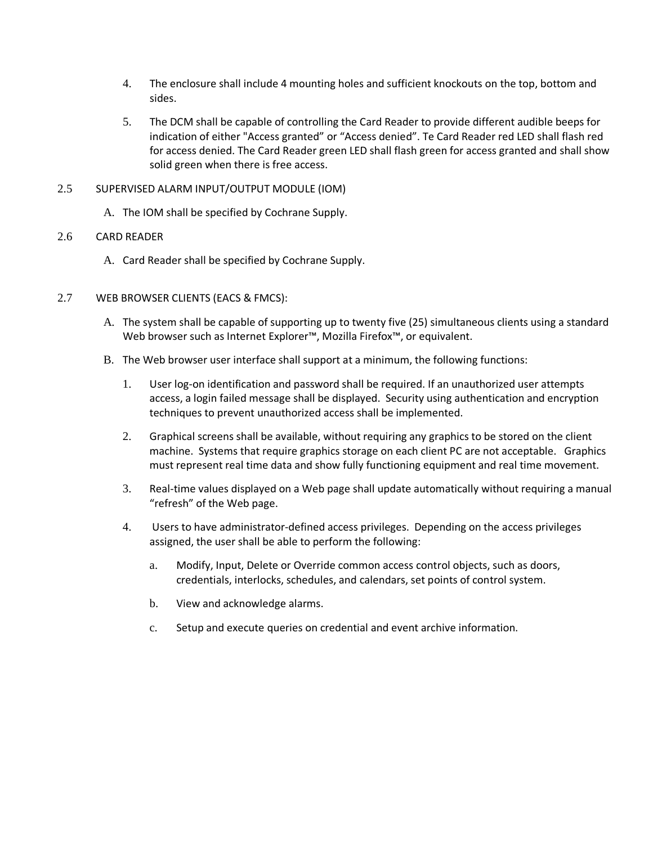- 4. The enclosure shall include 4 mounting holes and sufficient knockouts on the top, bottom and sides.
- 5. The DCM shall be capable of controlling the Card Reader to provide different audible beeps for indication of either "Access granted" or "Access denied". Te Card Reader red LED shall flash red for access denied. The Card Reader green LED shall flash green for access granted and shall show solid green when there is free access.

# 2.5 SUPERVISED ALARM INPUT/OUTPUT MODULE (IOM)

A. The IOM shall be specified by Cochrane Supply.

# 2.6 CARD READER

A. Card Reader shall be specified by Cochrane Supply.

# 2.7 WEB BROWSER CLIENTS (EACS & FMCS):

- A. The system shall be capable of supporting up to twenty five (25) simultaneous clients using a standard Web browser such as Internet Explorer™, Mozilla Firefox™, or equivalent.
- B. The Web browser user interface shall support at a minimum, the following functions:
	- 1. User log-on identification and password shall be required. If an unauthorized user attempts access, a login failed message shall be displayed. Security using authentication and encryption techniques to prevent unauthorized access shall be implemented.
	- 2. Graphical screens shall be available, without requiring any graphics to be stored on the client machine. Systems that require graphics storage on each client PC are not acceptable. Graphics must represent real time data and show fully functioning equipment and real time movement.
	- 3. Real-time values displayed on a Web page shall update automatically without requiring a manual "refresh" of the Web page.
	- 4. Users to have administrator-defined access privileges. Depending on the access privileges assigned, the user shall be able to perform the following:
		- a. Modify, Input, Delete or Override common access control objects, such as doors, credentials, interlocks, schedules, and calendars, set points of control system.
		- b. View and acknowledge alarms.
		- c. Setup and execute queries on credential and event archive information.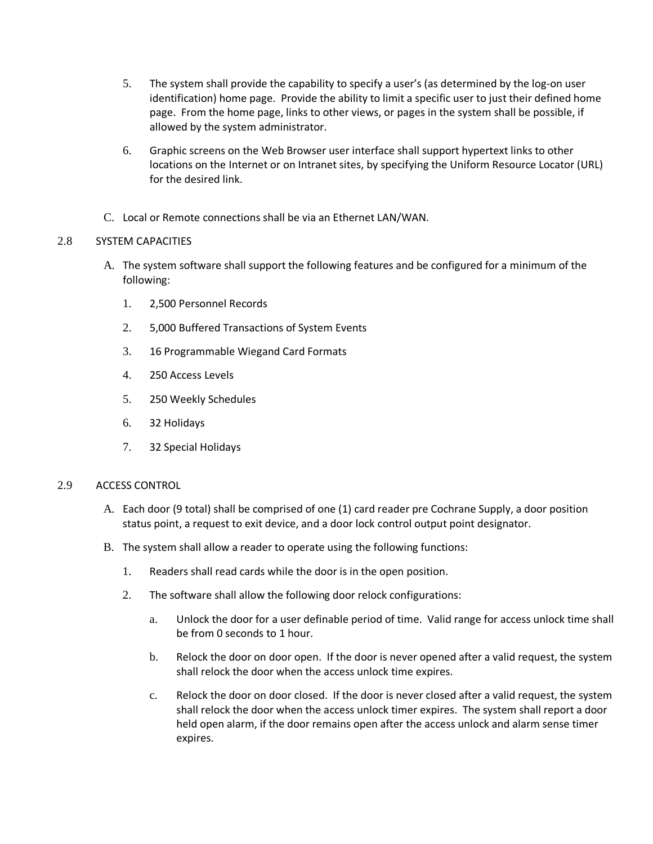- 5. The system shall provide the capability to specify a user's (as determined by the log-on user identification) home page. Provide the ability to limit a specific user to just their defined home page. From the home page, links to other views, or pages in the system shall be possible, if allowed by the system administrator.
- 6. Graphic screens on the Web Browser user interface shall support hypertext links to other locations on the Internet or on Intranet sites, by specifying the Uniform Resource Locator (URL) for the desired link.
- C. Local or Remote connections shall be via an Ethernet LAN/WAN.

# 2.8 SYSTEM CAPACITIES

- A. The system software shall support the following features and be configured for a minimum of the following:
	- 1. 2,500 Personnel Records
	- 2. 5,000 Buffered Transactions of System Events
	- 3. 16 Programmable Wiegand Card Formats
	- 4. 250 Access Levels
	- 5. 250 Weekly Schedules
	- 6. 32 Holidays
	- 7. 32 Special Holidays

### 2.9 ACCESS CONTROL

- A. Each door (9 total) shall be comprised of one (1) card reader pre Cochrane Supply, a door position status point, a request to exit device, and a door lock control output point designator.
- B. The system shall allow a reader to operate using the following functions:
	- 1. Readers shall read cards while the door is in the open position.
	- 2. The software shall allow the following door relock configurations:
		- a. Unlock the door for a user definable period of time. Valid range for access unlock time shall be from 0 seconds to 1 hour.
		- b. Relock the door on door open. If the door is never opened after a valid request, the system shall relock the door when the access unlock time expires.
		- c. Relock the door on door closed. If the door is never closed after a valid request, the system shall relock the door when the access unlock timer expires. The system shall report a door held open alarm, if the door remains open after the access unlock and alarm sense timer expires.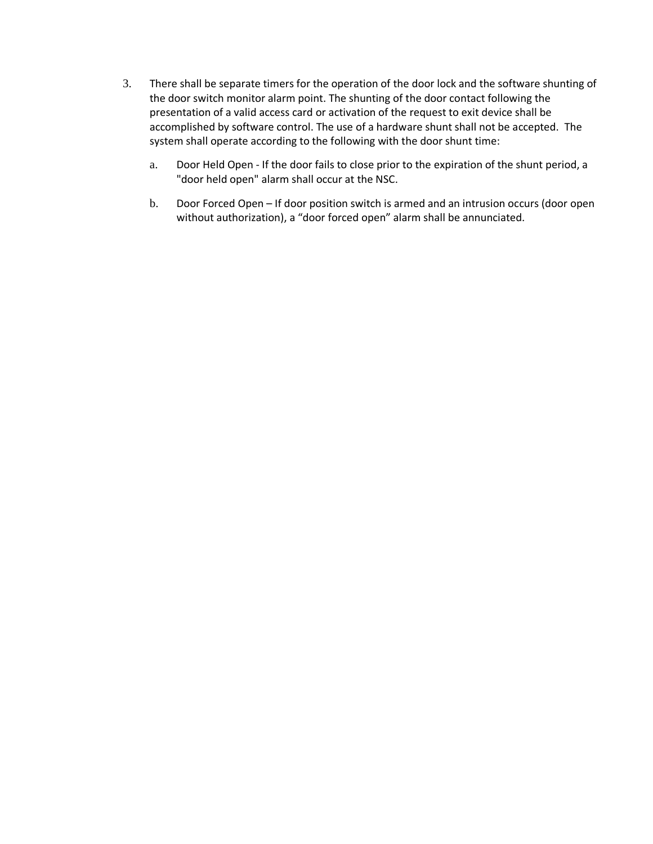- 3. There shall be separate timers for the operation of the door lock and the software shunting of the door switch monitor alarm point. The shunting of the door contact following the presentation of a valid access card or activation of the request to exit device shall be accomplished by software control. The use of a hardware shunt shall not be accepted. The system shall operate according to the following with the door shunt time:
	- a. Door Held Open If the door fails to close prior to the expiration of the shunt period, a "door held open" alarm shall occur at the NSC.
	- b. Door Forced Open If door position switch is armed and an intrusion occurs (door open without authorization), a "door forced open" alarm shall be annunciated.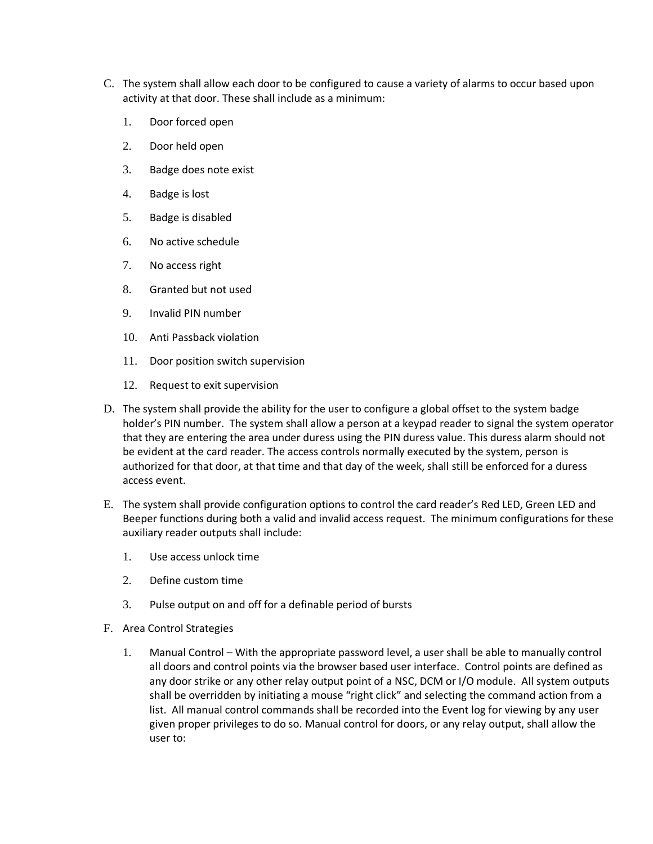- C. The system shall allow each door to be configured to cause a variety of alarms to occur based upon activity at that door. These shall include as a minimum:
	- 1. Door forced open
	- 2. Door held open
	- 3. Badge does note exist
	- 4. Badge is lost
	- 5. Badge is disabled
	- 6. No active schedule
	- 7. No access right
	- 8. Granted but not used
	- 9. Invalid PIN number
	- 10. Anti Passback violation
	- 11. Door position switch supervision
	- 12. Request to exit supervision
- D. The system shall provide the ability for the user to configure a global offset to the system badge holder's PIN number. The system shall allow a person at a keypad reader to signal the system operator that they are entering the area under duress using the PIN duress value. This duress alarm should not be evident at the card reader. The access controls normally executed by the system, person is authorized for that door, at that time and that day of the week, shall still be enforced for a duress access event.
- E. The system shall provide configuration options to control the card reader's Red LED, Green LED and Beeper functions during both a valid and invalid access request. The minimum configurations for these auxiliary reader outputs shall include:
	- 1. Use access unlock time
	- 2. Define custom time
	- 3. Pulse output on and off for a definable period of bursts
- F. Area Control Strategies
	- 1. Manual Control With the appropriate password level, a user shall be able to manually control all doors and control points via the browser based user interface. Control points are defined as any door strike or any other relay output point of a NSC, DCM or I/O module. All system outputs shall be overridden by initiating a mouse "right click" and selecting the command action from a list. All manual control commands shall be recorded into the Event log for viewing by any user given proper privileges to do so. Manual control for doors, or any relay output, shall allow the user to: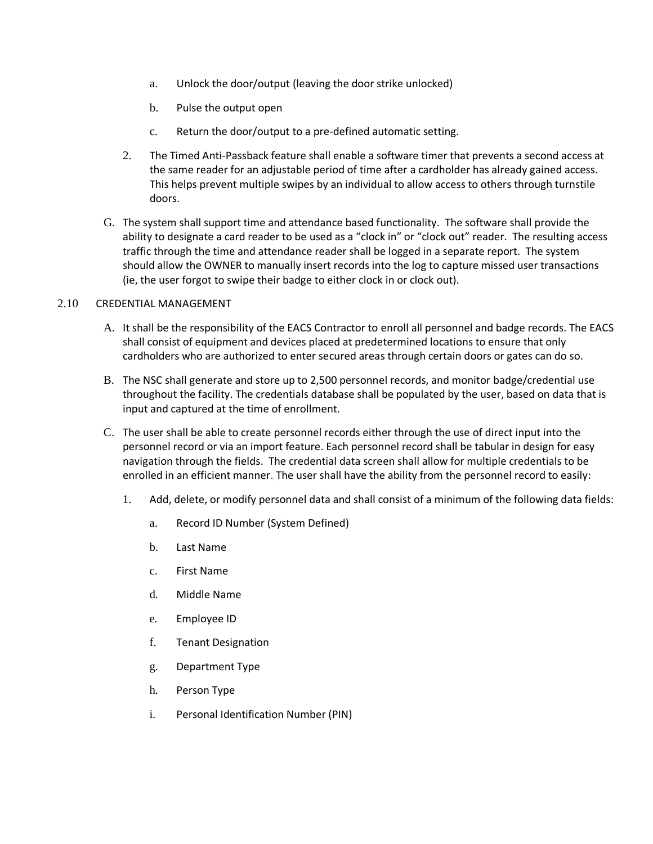- a. Unlock the door/output (leaving the door strike unlocked)
- b. Pulse the output open
- c. Return the door/output to a pre-defined automatic setting.
- 2. The Timed Anti-Passback feature shall enable a software timer that prevents a second access at the same reader for an adjustable period of time after a cardholder has already gained access. This helps prevent multiple swipes by an individual to allow access to others through turnstile doors.
- G. The system shall support time and attendance based functionality. The software shall provide the ability to designate a card reader to be used as a "clock in" or "clock out" reader. The resulting access traffic through the time and attendance reader shall be logged in a separate report. The system should allow the OWNER to manually insert records into the log to capture missed user transactions (ie, the user forgot to swipe their badge to either clock in or clock out).

### 2.10 CREDENTIAL MANAGEMENT

- A. It shall be the responsibility of the EACS Contractor to enroll all personnel and badge records. The EACS shall consist of equipment and devices placed at predetermined locations to ensure that only cardholders who are authorized to enter secured areas through certain doors or gates can do so.
- B. The NSC shall generate and store up to 2,500 personnel records, and monitor badge/credential use throughout the facility. The credentials database shall be populated by the user, based on data that is input and captured at the time of enrollment.
- C. The user shall be able to create personnel records either through the use of direct input into the personnel record or via an import feature. Each personnel record shall be tabular in design for easy navigation through the fields. The credential data screen shall allow for multiple credentials to be enrolled in an efficient manner. The user shall have the ability from the personnel record to easily:
	- 1. Add, delete, or modify personnel data and shall consist of a minimum of the following data fields:
		- a. Record ID Number (System Defined)
		- b. Last Name
		- c. First Name
		- d. Middle Name
		- e. Employee ID
		- f. Tenant Designation
		- g. Department Type
		- h. Person Type
		- i. Personal Identification Number (PIN)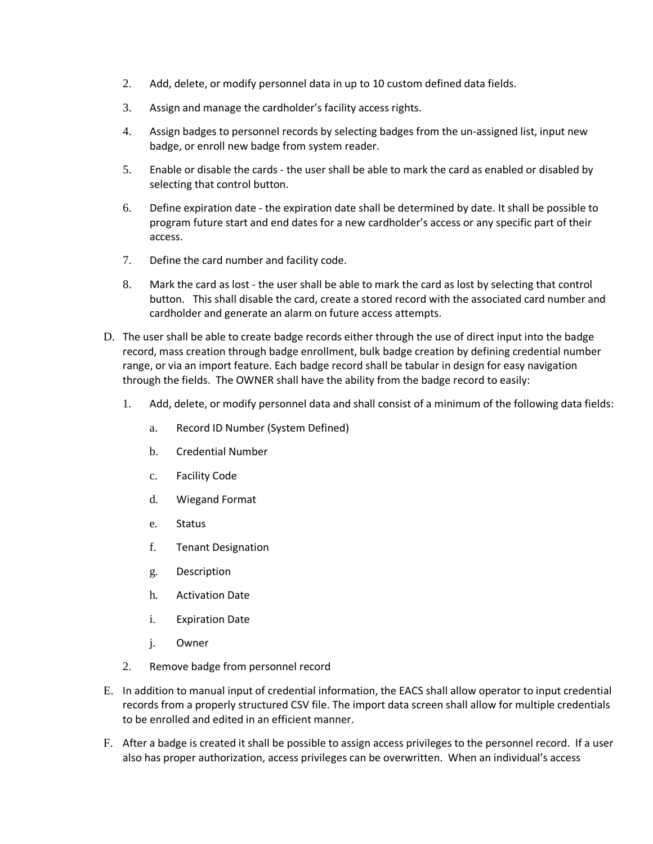- 2. Add, delete, or modify personnel data in up to 10 custom defined data fields.
- 3. Assign and manage the cardholder's facility access rights.
- 4. Assign badges to personnel records by selecting badges from the un-assigned list, input new badge, or enroll new badge from system reader.
- 5. Enable or disable the cards the user shall be able to mark the card as enabled or disabled by selecting that control button.
- 6. Define expiration date the expiration date shall be determined by date. It shall be possible to program future start and end dates for a new cardholder's access or any specific part of their access.
- 7. Define the card number and facility code.
- 8. Mark the card as lost the user shall be able to mark the card as lost by selecting that control button. This shall disable the card, create a stored record with the associated card number and cardholder and generate an alarm on future access attempts.
- D. The user shall be able to create badge records either through the use of direct input into the badge record, mass creation through badge enrollment, bulk badge creation by defining credential number range, or via an import feature. Each badge record shall be tabular in design for easy navigation through the fields. The OWNER shall have the ability from the badge record to easily:
	- 1. Add, delete, or modify personnel data and shall consist of a minimum of the following data fields:
		- a. Record ID Number (System Defined)
		- b. Credential Number
		- c. Facility Code
		- d. Wiegand Format
		- e. Status
		- f. Tenant Designation
		- g. Description
		- h. Activation Date
		- i. Expiration Date
		- j. Owner
	- 2. Remove badge from personnel record
- E. In addition to manual input of credential information, the EACS shall allow operator to input credential records from a properly structured CSV file. The import data screen shall allow for multiple credentials to be enrolled and edited in an efficient manner.
- F. After a badge is created it shall be possible to assign access privileges to the personnel record. If a user also has proper authorization, access privileges can be overwritten. When an individual's access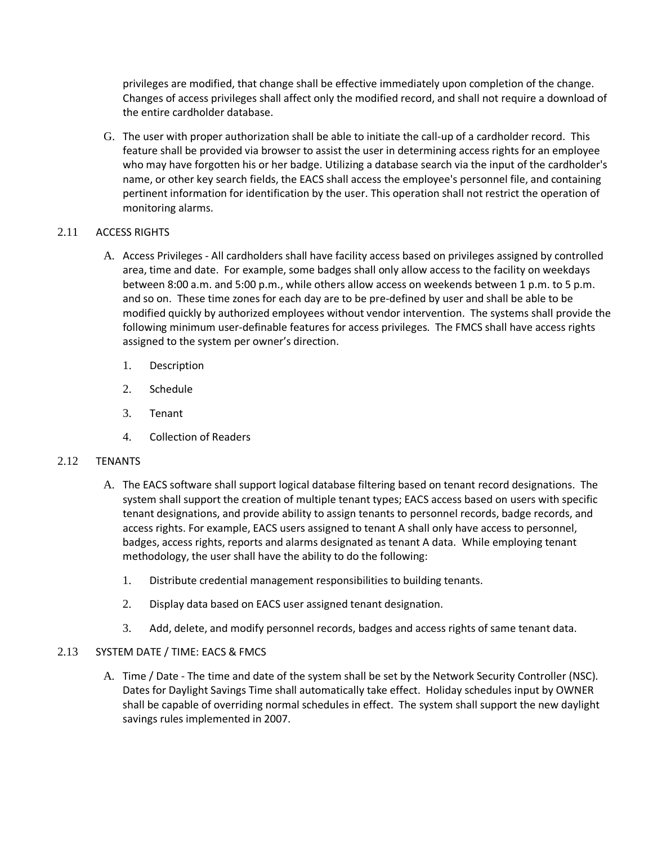privileges are modified, that change shall be effective immediately upon completion of the change. Changes of access privileges shall affect only the modified record, and shall not require a download of the entire cardholder database.

G. The user with proper authorization shall be able to initiate the call-up of a cardholder record. This feature shall be provided via browser to assist the user in determining access rights for an employee who may have forgotten his or her badge. Utilizing a database search via the input of the cardholder's name, or other key search fields, the EACS shall access the employee's personnel file, and containing pertinent information for identification by the user. This operation shall not restrict the operation of monitoring alarms.

# 2.11 ACCESS RIGHTS

- A. Access Privileges All cardholders shall have facility access based on privileges assigned by controlled area, time and date. For example, some badges shall only allow access to the facility on weekdays between 8:00 a.m. and 5:00 p.m., while others allow access on weekends between 1 p.m. to 5 p.m. and so on. These time zones for each day are to be pre-defined by user and shall be able to be modified quickly by authorized employees without vendor intervention. The systems shall provide the following minimum user-definable features for access privileges. The FMCS shall have access rights assigned to the system per owner's direction.
	- 1. Description
	- 2. Schedule
	- 3. Tenant
	- 4. Collection of Readers

### 2.12 TENANTS

- A. The EACS software shall support logical database filtering based on tenant record designations. The system shall support the creation of multiple tenant types; EACS access based on users with specific tenant designations, and provide ability to assign tenants to personnel records, badge records, and access rights. For example, EACS users assigned to tenant A shall only have access to personnel, badges, access rights, reports and alarms designated as tenant A data. While employing tenant methodology, the user shall have the ability to do the following:
	- 1. Distribute credential management responsibilities to building tenants.
	- 2. Display data based on EACS user assigned tenant designation.
	- 3. Add, delete, and modify personnel records, badges and access rights of same tenant data.

### 2.13 SYSTEM DATE / TIME: EACS & FMCS

A. Time / Date - The time and date of the system shall be set by the Network Security Controller (NSC). Dates for Daylight Savings Time shall automatically take effect. Holiday schedules input by OWNER shall be capable of overriding normal schedules in effect. The system shall support the new daylight savings rules implemented in 2007.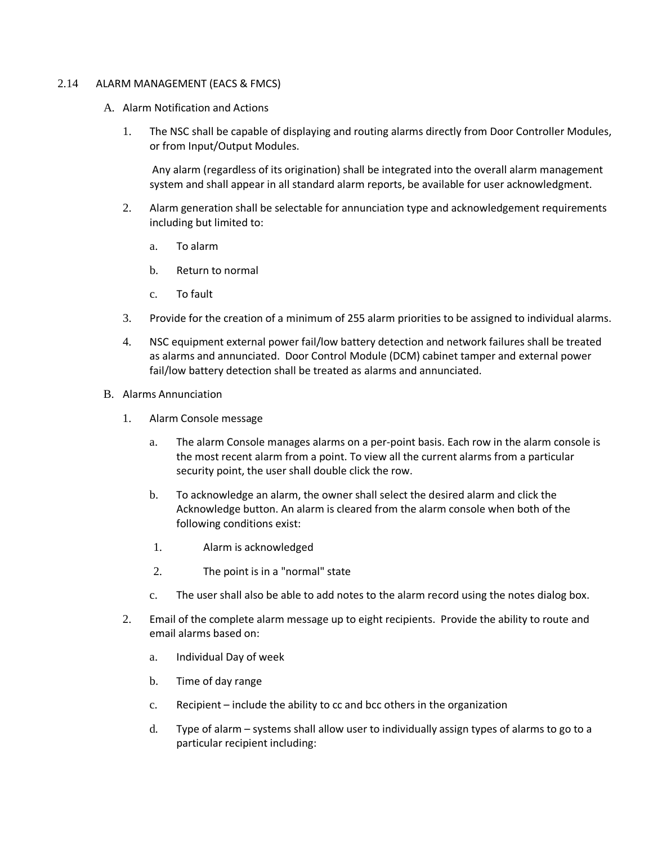#### 2.14 ALARM MANAGEMENT (EACS & FMCS)

- A. Alarm Notification and Actions
	- 1. The NSC shall be capable of displaying and routing alarms directly from Door Controller Modules, or from Input/Output Modules.

Any alarm (regardless of its origination) shall be integrated into the overall alarm management system and shall appear in all standard alarm reports, be available for user acknowledgment.

- 2. Alarm generation shall be selectable for annunciation type and acknowledgement requirements including but limited to:
	- a. To alarm
	- b. Return to normal
	- c. To fault
- 3. Provide for the creation of a minimum of 255 alarm priorities to be assigned to individual alarms.
- 4. NSC equipment external power fail/low battery detection and network failures shall be treated as alarms and annunciated. Door Control Module (DCM) cabinet tamper and external power fail/low battery detection shall be treated as alarms and annunciated.
- B. Alarms Annunciation
	- 1. Alarm Console message
		- a. The alarm Console manages alarms on a per-point basis. Each row in the alarm console is the most recent alarm from a point. To view all the current alarms from a particular security point, the user shall double click the row.
		- b. To acknowledge an alarm, the owner shall select the desired alarm and click the Acknowledge button. An alarm is cleared from the alarm console when both of the following conditions exist:
		- 1. Alarm is acknowledged
		- 2. The point is in a "normal" state
		- c. The user shall also be able to add notes to the alarm record using the notes dialog box.
	- 2. Email of the complete alarm message up to eight recipients. Provide the ability to route and email alarms based on:
		- a. Individual Day of week
		- b. Time of day range
		- c. Recipient include the ability to cc and bcc others in the organization
		- d. Type of alarm systems shall allow user to individually assign types of alarms to go to a particular recipient including: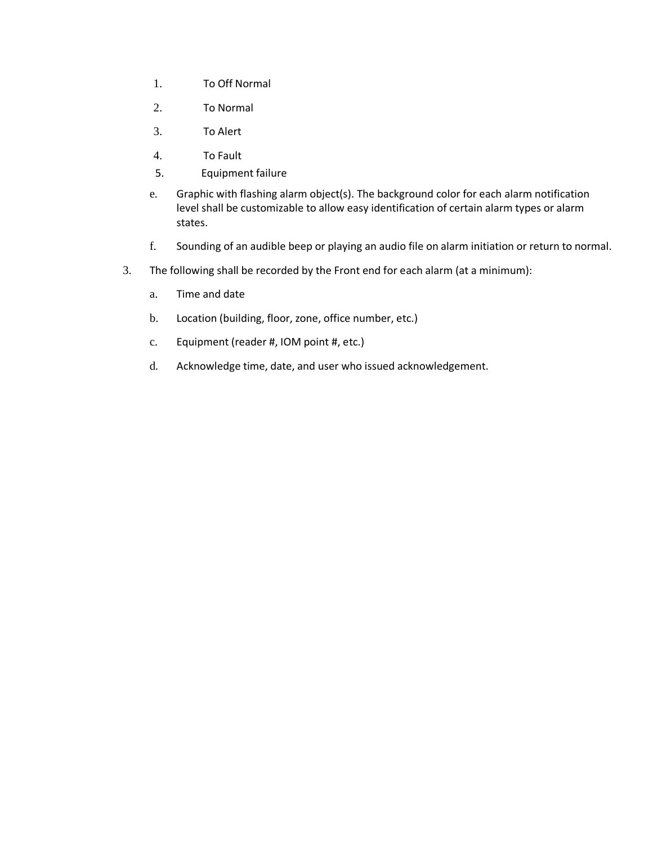- 1. To Off Normal
- 2. To Normal
- 3. To Alert
- 4. To Fault
- 5. Equipment failure
- e. Graphic with flashing alarm object(s). The background color for each alarm notification level shall be customizable to allow easy identification of certain alarm types or alarm states.
- f. Sounding of an audible beep or playing an audio file on alarm initiation or return to normal.
- 3. The following shall be recorded by the Front end for each alarm (at a minimum):
	- a. Time and date
	- b. Location (building, floor, zone, office number, etc.)
	- c. Equipment (reader #, IOM point #, etc.)
	- d. Acknowledge time, date, and user who issued acknowledgement.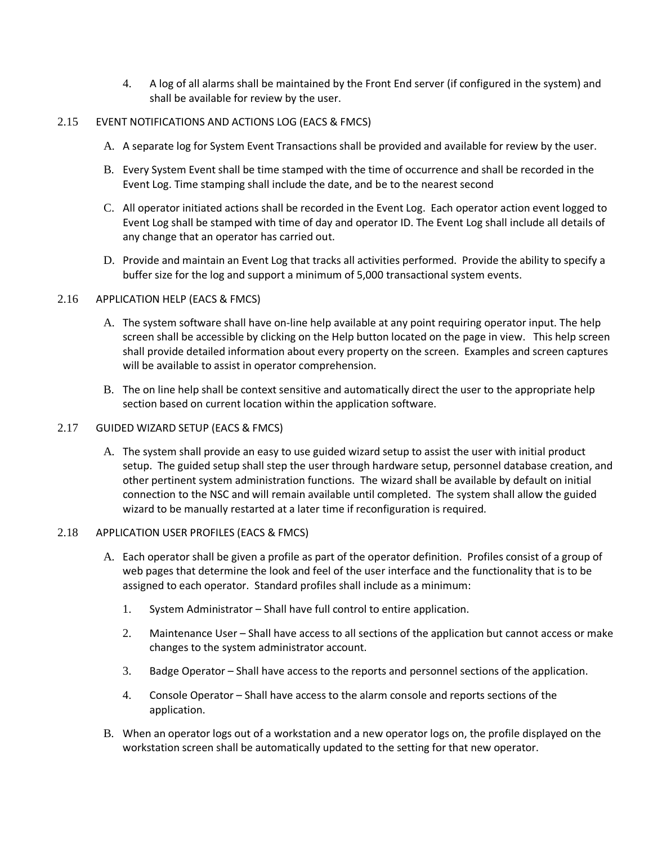4. A log of all alarms shall be maintained by the Front End server (if configured in the system) and shall be available for review by the user.

### 2.15 EVENT NOTIFICATIONS AND ACTIONS LOG (EACS & FMCS)

- A. A separate log for System Event Transactions shall be provided and available for review by the user.
- B. Every System Event shall be time stamped with the time of occurrence and shall be recorded in the Event Log. Time stamping shall include the date, and be to the nearest second
- C. All operator initiated actions shall be recorded in the Event Log. Each operator action event logged to Event Log shall be stamped with time of day and operator ID. The Event Log shall include all details of any change that an operator has carried out.
- D. Provide and maintain an Event Log that tracks all activities performed. Provide the ability to specify a buffer size for the log and support a minimum of 5,000 transactional system events.

# 2.16 APPLICATION HELP (EACS & FMCS)

- A. The system software shall have on-line help available at any point requiring operator input. The help screen shall be accessible by clicking on the Help button located on the page in view. This help screen shall provide detailed information about every property on the screen. Examples and screen captures will be available to assist in operator comprehension.
- B. The on line help shall be context sensitive and automatically direct the user to the appropriate help section based on current location within the application software.

#### 2.17 GUIDED WIZARD SETUP (EACS & FMCS)

A. The system shall provide an easy to use guided wizard setup to assist the user with initial product setup. The guided setup shall step the user through hardware setup, personnel database creation, and other pertinent system administration functions. The wizard shall be available by default on initial connection to the NSC and will remain available until completed. The system shall allow the guided wizard to be manually restarted at a later time if reconfiguration is required.

#### 2.18 APPLICATION USER PROFILES (EACS & FMCS)

- A. Each operator shall be given a profile as part of the operator definition. Profiles consist of a group of web pages that determine the look and feel of the user interface and the functionality that is to be assigned to each operator. Standard profiles shall include as a minimum:
	- 1. System Administrator Shall have full control to entire application.
	- 2. Maintenance User Shall have access to all sections of the application but cannot access or make changes to the system administrator account.
	- 3. Badge Operator Shall have access to the reports and personnel sections of the application.
	- 4. Console Operator Shall have access to the alarm console and reports sections of the application.
- B. When an operator logs out of a workstation and a new operator logs on, the profile displayed on the workstation screen shall be automatically updated to the setting for that new operator.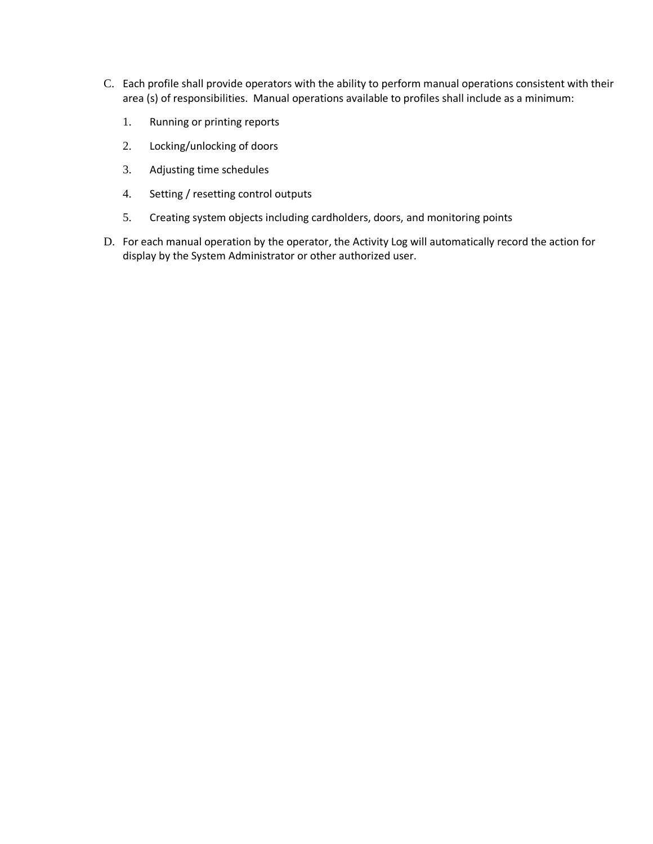- C. Each profile shall provide operators with the ability to perform manual operations consistent with their area (s) of responsibilities. Manual operations available to profiles shall include as a minimum:
	- 1. Running or printing reports
	- 2. Locking/unlocking of doors
	- 3. Adjusting time schedules
	- 4. Setting / resetting control outputs
	- 5. Creating system objects including cardholders, doors, and monitoring points
- D. For each manual operation by the operator, the Activity Log will automatically record the action for display by the System Administrator or other authorized user.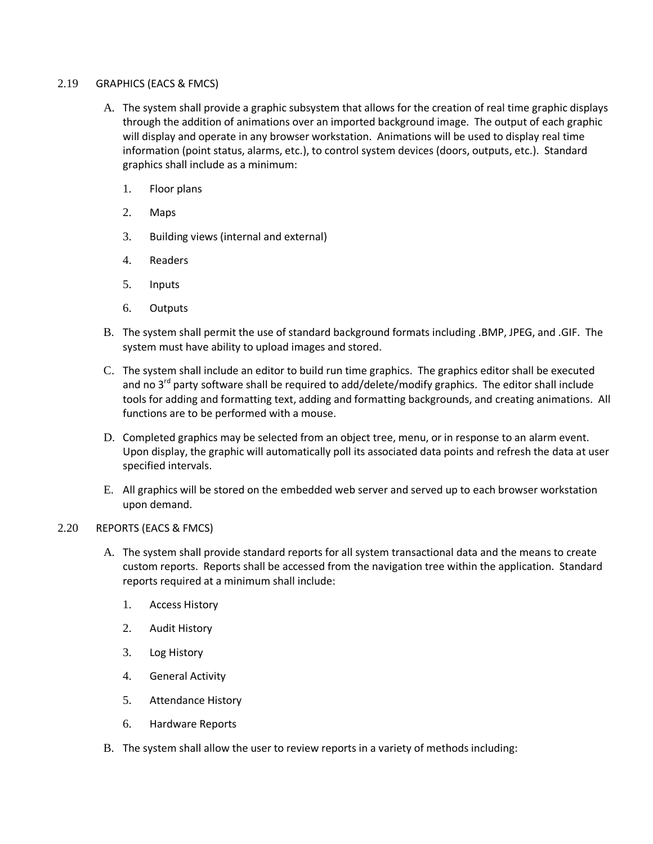### 2.19 GRAPHICS (EACS & FMCS)

- A. The system shall provide a graphic subsystem that allows for the creation of real time graphic displays through the addition of animations over an imported background image. The output of each graphic will display and operate in any browser workstation. Animations will be used to display real time information (point status, alarms, etc.), to control system devices (doors, outputs, etc.). Standard graphics shall include as a minimum:
	- 1. Floor plans
	- 2. Maps
	- 3. Building views (internal and external)
	- 4. Readers
	- 5. Inputs
	- 6. Outputs
- B. The system shall permit the use of standard background formats including .BMP, JPEG, and .GIF. The system must have ability to upload images and stored.
- C. The system shall include an editor to build run time graphics. The graphics editor shall be executed and no  $3<sup>rd</sup>$  party software shall be required to add/delete/modify graphics. The editor shall include tools for adding and formatting text, adding and formatting backgrounds, and creating animations. All functions are to be performed with a mouse.
- D. Completed graphics may be selected from an object tree, menu, or in response to an alarm event. Upon display, the graphic will automatically poll its associated data points and refresh the data at user specified intervals.
- E. All graphics will be stored on the embedded web server and served up to each browser workstation upon demand.
- 2.20 REPORTS (EACS & FMCS)
	- A. The system shall provide standard reports for all system transactional data and the means to create custom reports. Reports shall be accessed from the navigation tree within the application. Standard reports required at a minimum shall include:
		- 1. Access History
		- 2. Audit History
		- 3. Log History
		- 4. General Activity
		- 5. Attendance History
		- 6. Hardware Reports
	- B. The system shall allow the user to review reports in a variety of methods including: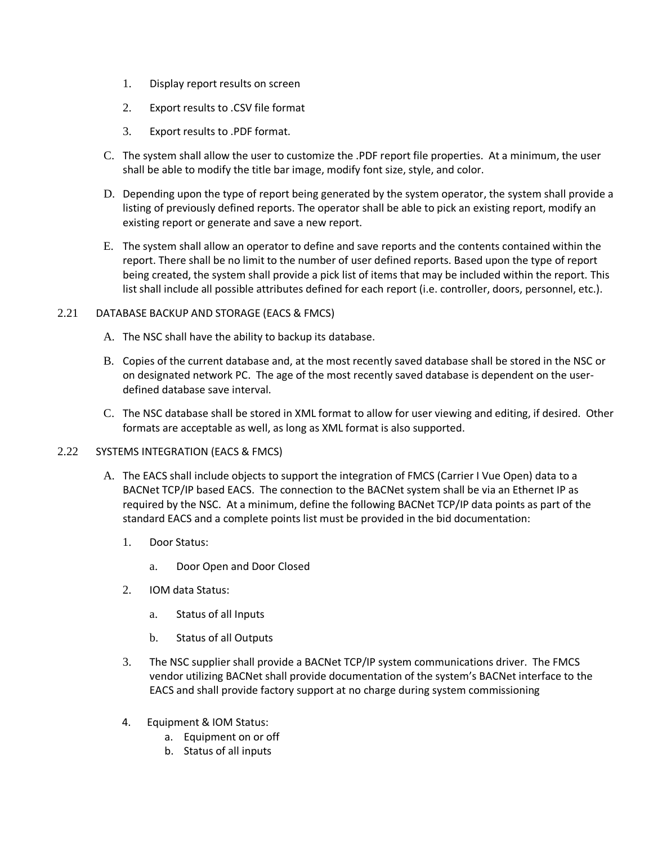- 1. Display report results on screen
- 2. Export results to .CSV file format
- 3. Export results to .PDF format.
- C. The system shall allow the user to customize the .PDF report file properties. At a minimum, the user shall be able to modify the title bar image, modify font size, style, and color.
- D. Depending upon the type of report being generated by the system operator, the system shall provide a listing of previously defined reports. The operator shall be able to pick an existing report, modify an existing report or generate and save a new report.
- E. The system shall allow an operator to define and save reports and the contents contained within the report. There shall be no limit to the number of user defined reports. Based upon the type of report being created, the system shall provide a pick list of items that may be included within the report. This list shall include all possible attributes defined for each report (i.e. controller, doors, personnel, etc.).

### 2.21 DATABASE BACKUP AND STORAGE (EACS & FMCS)

- A. The NSC shall have the ability to backup its database.
- B. Copies of the current database and, at the most recently saved database shall be stored in the NSC or on designated network PC. The age of the most recently saved database is dependent on the userdefined database save interval.
- C. The NSC database shall be stored in XML format to allow for user viewing and editing, if desired. Other formats are acceptable as well, as long as XML format is also supported.

### 2.22 SYSTEMS INTEGRATION (EACS & FMCS)

- A. The EACS shall include objects to support the integration of FMCS (Carrier I Vue Open) data to a BACNet TCP/IP based EACS. The connection to the BACNet system shall be via an Ethernet IP as required by the NSC. At a minimum, define the following BACNet TCP/IP data points as part of the standard EACS and a complete points list must be provided in the bid documentation:
	- 1. Door Status:
		- a. Door Open and Door Closed
	- 2. IOM data Status:
		- a. Status of all Inputs
		- b. Status of all Outputs
	- 3. The NSC supplier shall provide a BACNet TCP/IP system communications driver. The FMCS vendor utilizing BACNet shall provide documentation of the system's BACNet interface to the EACS and shall provide factory support at no charge during system commissioning
	- 4. Equipment & IOM Status:
		- a. Equipment on or off
		- b. Status of all inputs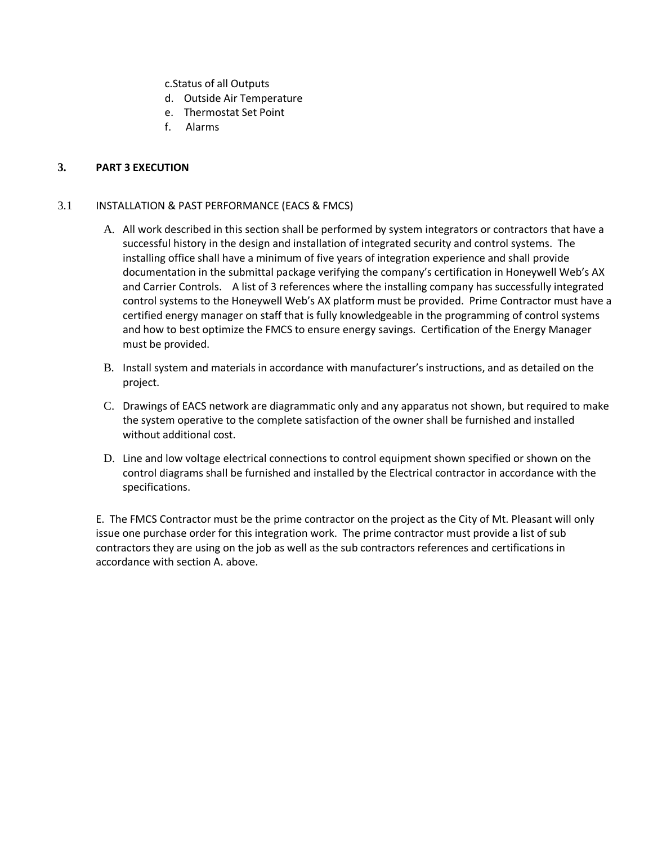c.Status of all Outputs

- d. Outside Air Temperature
- e. Thermostat Set Point
- f. Alarms

# **3. PART 3 EXECUTION**

### 3.1 INSTALLATION & PAST PERFORMANCE (EACS & FMCS)

- A. All work described in this section shall be performed by system integrators or contractors that have a successful history in the design and installation of integrated security and control systems. The installing office shall have a minimum of five years of integration experience and shall provide documentation in the submittal package verifying the company's certification in Honeywell Web's AX and Carrier Controls. A list of 3 references where the installing company has successfully integrated control systems to the Honeywell Web's AX platform must be provided. Prime Contractor must have a certified energy manager on staff that is fully knowledgeable in the programming of control systems and how to best optimize the FMCS to ensure energy savings. Certification of the Energy Manager must be provided.
- B. Install system and materials in accordance with manufacturer's instructions, and as detailed on the project.
- C. Drawings of EACS network are diagrammatic only and any apparatus not shown, but required to make the system operative to the complete satisfaction of the owner shall be furnished and installed without additional cost.
- D. Line and low voltage electrical connections to control equipment shown specified or shown on the control diagrams shall be furnished and installed by the Electrical contractor in accordance with the specifications.

E. The FMCS Contractor must be the prime contractor on the project as the City of Mt. Pleasant will only issue one purchase order for this integration work. The prime contractor must provide a list of sub contractors they are using on the job as well as the sub contractors references and certifications in accordance with section A. above.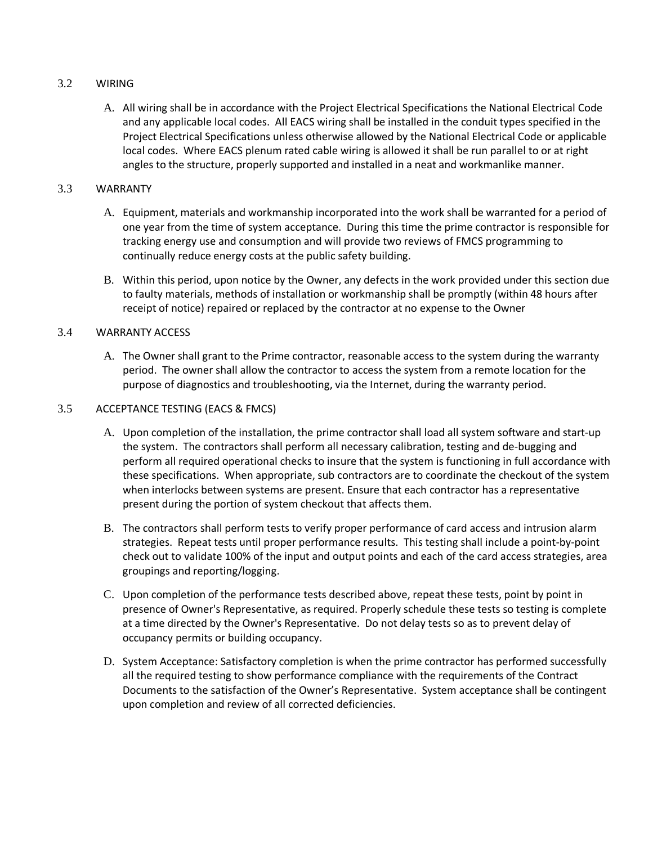# 3.2 WIRING

A. All wiring shall be in accordance with the Project Electrical Specifications the National Electrical Code and any applicable local codes. All EACS wiring shall be installed in the conduit types specified in the Project Electrical Specifications unless otherwise allowed by the National Electrical Code or applicable local codes. Where EACS plenum rated cable wiring is allowed it shall be run parallel to or at right angles to the structure, properly supported and installed in a neat and workmanlike manner.

# 3.3 WARRANTY

- A. Equipment, materials and workmanship incorporated into the work shall be warranted for a period of one year from the time of system acceptance. During this time the prime contractor is responsible for tracking energy use and consumption and will provide two reviews of FMCS programming to continually reduce energy costs at the public safety building.
- B. Within this period, upon notice by the Owner, any defects in the work provided under this section due to faulty materials, methods of installation or workmanship shall be promptly (within 48 hours after receipt of notice) repaired or replaced by the contractor at no expense to the Owner

# 3.4 WARRANTY ACCESS

A. The Owner shall grant to the Prime contractor, reasonable access to the system during the warranty period. The owner shall allow the contractor to access the system from a remote location for the purpose of diagnostics and troubleshooting, via the Internet, during the warranty period.

### 3.5 ACCEPTANCE TESTING (EACS & FMCS)

- A. Upon completion of the installation, the prime contractor shall load all system software and start-up the system. The contractors shall perform all necessary calibration, testing and de-bugging and perform all required operational checks to insure that the system is functioning in full accordance with these specifications. When appropriate, sub contractors are to coordinate the checkout of the system when interlocks between systems are present. Ensure that each contractor has a representative present during the portion of system checkout that affects them.
- B. The contractors shall perform tests to verify proper performance of card access and intrusion alarm strategies. Repeat tests until proper performance results. This testing shall include a point-by-point check out to validate 100% of the input and output points and each of the card access strategies, area groupings and reporting/logging.
- C. Upon completion of the performance tests described above, repeat these tests, point by point in presence of Owner's Representative, as required. Properly schedule these tests so testing is complete at a time directed by the Owner's Representative. Do not delay tests so as to prevent delay of occupancy permits or building occupancy.
- D. System Acceptance: Satisfactory completion is when the prime contractor has performed successfully all the required testing to show performance compliance with the requirements of the Contract Documents to the satisfaction of the Owner's Representative. System acceptance shall be contingent upon completion and review of all corrected deficiencies.